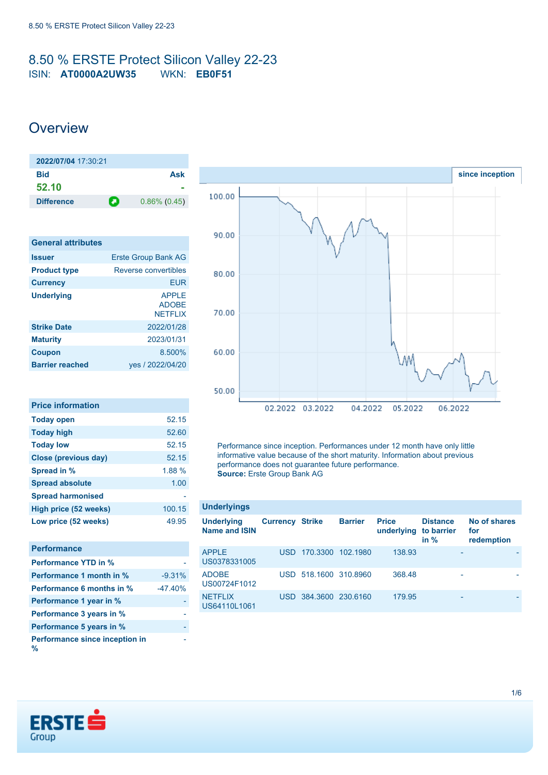### <span id="page-0-0"></span>8.50 % ERSTE Protect Silicon Valley 22-23 ISIN: **AT0000A2UW35** WKN: **EB0F51**

### **Overview**

| 2022/07/04 17:30:21 |   |                 |
|---------------------|---|-----------------|
| Bid                 |   | Ask             |
| 52.10               |   |                 |
| <b>Difference</b>   | О | $0.86\%$ (0.45) |

| <b>General attributes</b> |                                                |
|---------------------------|------------------------------------------------|
| <b>Issuer</b>             | <b>Erste Group Bank AG</b>                     |
| <b>Product type</b>       | Reverse convertibles                           |
| <b>Currency</b>           | FUR                                            |
| <b>Underlying</b>         | <b>APPLE</b><br><b>ADOBE</b><br><b>NETFLIX</b> |
| <b>Strike Date</b>        | 2022/01/28                                     |
| <b>Maturity</b>           | 2023/01/31                                     |
| <b>Coupon</b>             | 8.500%                                         |
| <b>Barrier reached</b>    | yes / 2022/04/20                               |

| <b>Price information</b>    |        |
|-----------------------------|--------|
| <b>Today open</b>           | 52.15  |
| <b>Today high</b>           | 52.60  |
| <b>Today low</b>            | 52.15  |
| <b>Close (previous day)</b> | 52.15  |
| Spread in %                 | 1.88%  |
| <b>Spread absolute</b>      | 1.00   |
| <b>Spread harmonised</b>    |        |
| High price (52 weeks)       | 100.15 |
| Low price (52 weeks)        | 49.95  |

| <b>Performance</b>                  |           |
|-------------------------------------|-----------|
| <b>Performance YTD in %</b>         |           |
| Performance 1 month in %            | $-9.31%$  |
| <b>Performance 6 months in %</b>    | $-47.40%$ |
| Performance 1 year in %             |           |
| Performance 3 years in %            |           |
| Performance 5 years in %            |           |
| Performance since inception in<br>% |           |



Performance since inception. Performances under 12 month have only little informative value because of the short maturity. Information about previous performance does not guarantee future performance. **Source:** Erste Group Bank AG

| <b>Underlyings</b>                        |                        |                       |                |                            |                                         |                                   |
|-------------------------------------------|------------------------|-----------------------|----------------|----------------------------|-----------------------------------------|-----------------------------------|
| <b>Underlying</b><br><b>Name and ISIN</b> | <b>Currency Strike</b> |                       | <b>Barrier</b> | <b>Price</b><br>underlying | <b>Distance</b><br>to barrier<br>in $%$ | No of shares<br>for<br>redemption |
| <b>APPLE</b><br>US0378331005              | USD.                   | 170.3300 102.1980     |                | 138.93                     |                                         |                                   |
| <b>ADOBE</b><br>US00724F1012              |                        | USD 518,1600 310,8960 |                | 368.48                     |                                         |                                   |
| <b>NETFLIX</b><br>US64110L1061            | USD.                   | 384.3600 230.6160     |                | 179.95                     | -                                       |                                   |

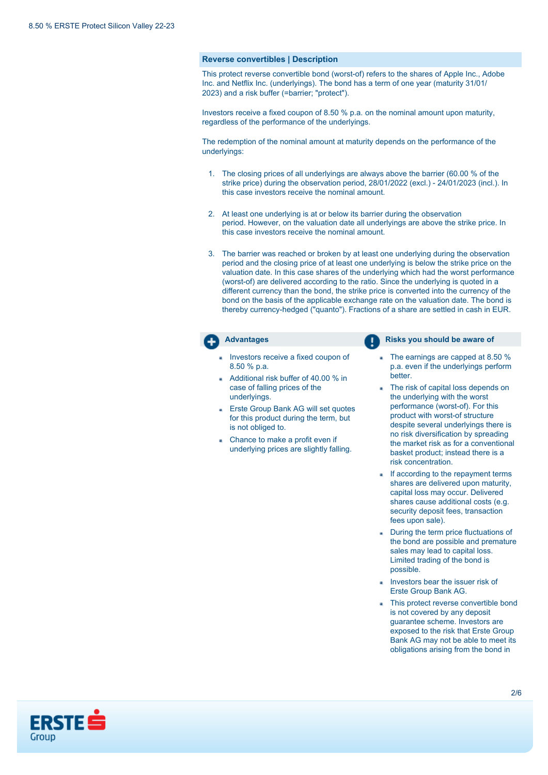#### **Reverse convertibles | Description**

This protect reverse convertible bond (worst-of) refers to the shares of Apple Inc., Adobe Inc. and Netflix Inc. (underlyings). The bond has a term of one year (maturity 31/01/ 2023) and a risk buffer (=barrier; "protect").

Investors receive a fixed coupon of 8.50 % p.a. on the nominal amount upon maturity, regardless of the performance of the underlyings.

The redemption of the nominal amount at maturity depends on the performance of the underlyings:

- 1. The closing prices of all underlyings are always above the barrier (60.00 % of the strike price) during the observation period, 28/01/2022 (excl.) - 24/01/2023 (incl.). In this case investors receive the nominal amount.
- 2. At least one underlying is at or below its barrier during the observation period. However, on the valuation date all underlyings are above the strike price. In this case investors receive the nominal amount.
- 3. The barrier was reached or broken by at least one underlying during the observation period and the closing price of at least one underlying is below the strike price on the valuation date. In this case shares of the underlying which had the worst performance (worst-of) are delivered according to the ratio. Since the underlying is quoted in a different currency than the bond, the strike price is converted into the currency of the bond on the basis of the applicable exchange rate on the valuation date. The bond is thereby currency-hedged ("quanto"). Fractions of a share are settled in cash in EUR.

- Investors receive a fixed coupon of 8.50 % p.a.
- Additional risk buffer of 40.00 % in case of falling prices of the underlyings.
- **Erste Group Bank AG will set quotes** for this product during the term, but is not obliged to.
- Chance to make a profit even if underlying prices are slightly falling.

**Advantages Risks you should be aware of Risks** you should be aware of

- The earnings are capped at 8.50 % p.a. even if the underlyings perform better.
- The risk of capital loss depends on the underlying with the worst performance (worst-of). For this product with worst-of structure despite several underlyings there is no risk diversification by spreading the market risk as for a conventional basket product; instead there is a risk concentration.
- If according to the repayment terms shares are delivered upon maturity, capital loss may occur. Delivered shares cause additional costs (e.g. security deposit fees, transaction fees upon sale).
- During the term price fluctuations of the bond are possible and premature sales may lead to capital loss. Limited trading of the bond is possible.
- Investors bear the issuer risk of Erste Group Bank AG.
- This protect reverse convertible bond is not covered by any deposit guarantee scheme. Investors are exposed to the risk that Erste Group Bank AG may not be able to meet its obligations arising from the bond in

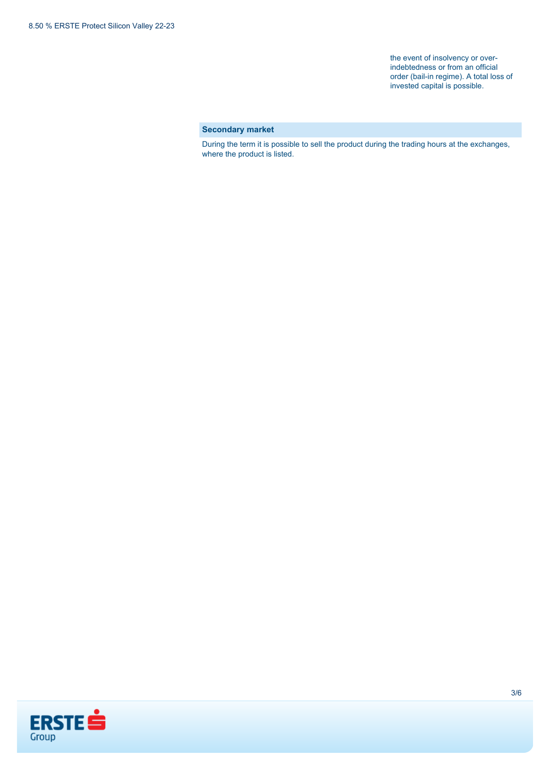the event of insolvency or overindebtedness or from an official order (bail-in regime). A total loss of invested capital is possible.

### **Secondary market**

During the term it is possible to sell the product during the trading hours at the exchanges, where the product is listed.

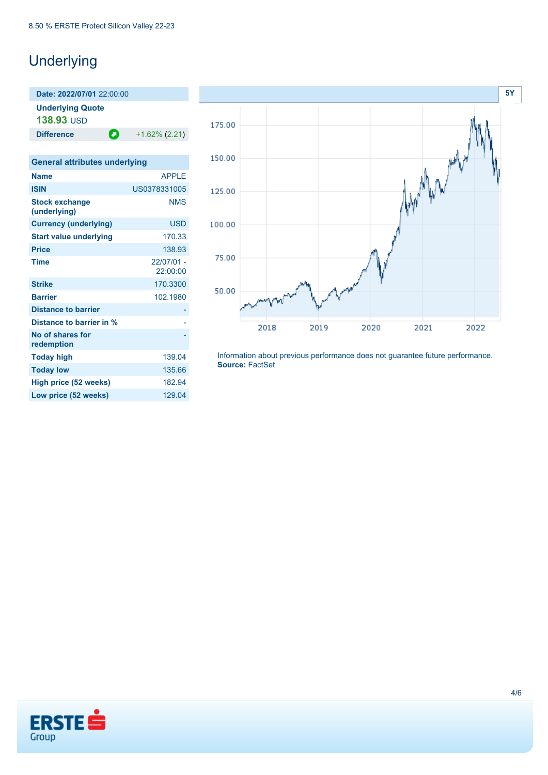# **Underlying**

**Underlying Quote 138.93** USD

**Difference**  $+1.62\% (2.21)$ 

| <b>General attributes underlying</b>  |                          |
|---------------------------------------|--------------------------|
| <b>Name</b>                           | <b>APPIF</b>             |
| <b>ISIN</b>                           | US0378331005             |
| <b>Stock exchange</b><br>(underlying) | <b>NMS</b>               |
| <b>Currency (underlying)</b>          | <b>USD</b>               |
| <b>Start value underlying</b>         | 170.33                   |
| <b>Price</b>                          | 138.93                   |
| <b>Time</b>                           | $22/07/01 -$<br>22:00:00 |
| <b>Strike</b>                         | 170.3300                 |
| <b>Barrier</b>                        | 102.1980                 |
| <b>Distance to barrier</b>            |                          |
| Distance to barrier in %              |                          |
| No of shares for<br>redemption        |                          |
| <b>Today high</b>                     | 139.04                   |
| <b>Today low</b>                      | 135.66                   |
| High price (52 weeks)                 | 182.94                   |
| Low price (52 weeks)                  | 129.04                   |
|                                       |                          |



Information about previous performance does not guarantee future performance. **Source:** FactSet

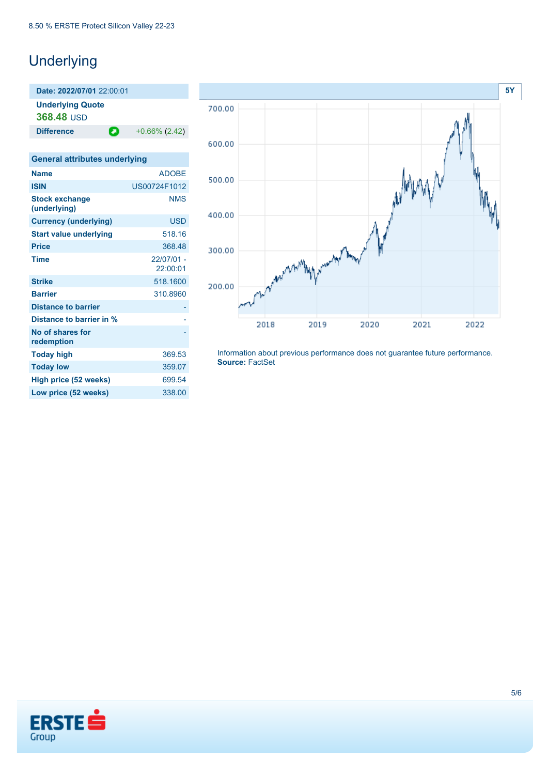## **Underlying**

**Date: 2022/07/01** 22:00:01 **Underlying Quote 368.48** USD **Difference**  $\bullet$  +0.66% (2.42) **General attributes underlying Name** ADOBE **ISIN** US00724F1012 **Stock exchange (underlying) NMS Currency (underlying)** USD **Start value underlying** 518.16 **Price** 368.48 **Time** 22/07/01 - 22:00:01 **Strike** 518.1600 **Barrier** 310.8960 **Distance to barrier Distance to barrier in % No of shares for redemption** - **Today high** 369.53 **Today low** 359.07 **High price (52 weeks)** 699.54 **Low price (52 weeks)** 338.00



Information about previous performance does not guarantee future performance. **Source:** FactSet